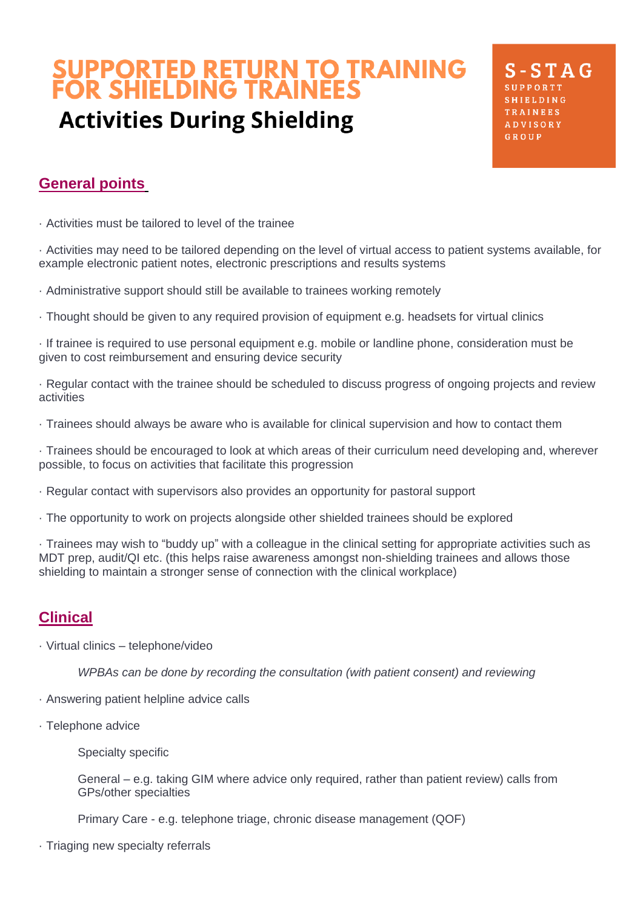# **SUPPORTED RETURN TO TRAINING<br>FOR SHIELDING TRAINEES Activities During Shielding**

 $S - STAG$ TRAINEES **ADVISORY** GROUP

# **General points**

· Activities must be tailored to level of the trainee

· Activities may need to be tailored depending on the level of virtual access to patient systems available, for example electronic patient notes, electronic prescriptions and results systems

- · Administrative support should still be available to trainees working remotely
- · Thought should be given to any required provision of equipment e.g. headsets for virtual clinics

· If trainee is required to use personal equipment e.g. mobile or landline phone, consideration must be given to cost reimbursement and ensuring device security

· Regular contact with the trainee should be scheduled to discuss progress of ongoing projects and review activities

· Trainees should always be aware who is available for clinical supervision and how to contact them

· Trainees should be encouraged to look at which areas of their curriculum need developing and, wherever possible, to focus on activities that facilitate this progression

- · Regular contact with supervisors also provides an opportunity for pastoral support
- · The opportunity to work on projects alongside other shielded trainees should be explored

· Trainees may wish to "buddy up" with a colleague in the clinical setting for appropriate activities such as MDT prep, audit/QI etc. (this helps raise awareness amongst non-shielding trainees and allows those shielding to maintain a stronger sense of connection with the clinical workplace)

#### **Clinical**

· Virtual clinics – telephone/video

*WPBAs can be done by recording the consultation (with patient consent) and reviewing*

- · Answering patient helpline advice calls
- · Telephone advice

Specialty specific

General – e.g. taking GIM where advice only required, rather than patient review) calls from GPs/other specialties

Primary Care - e.g. telephone triage, chronic disease management (QOF)

· Triaging new specialty referrals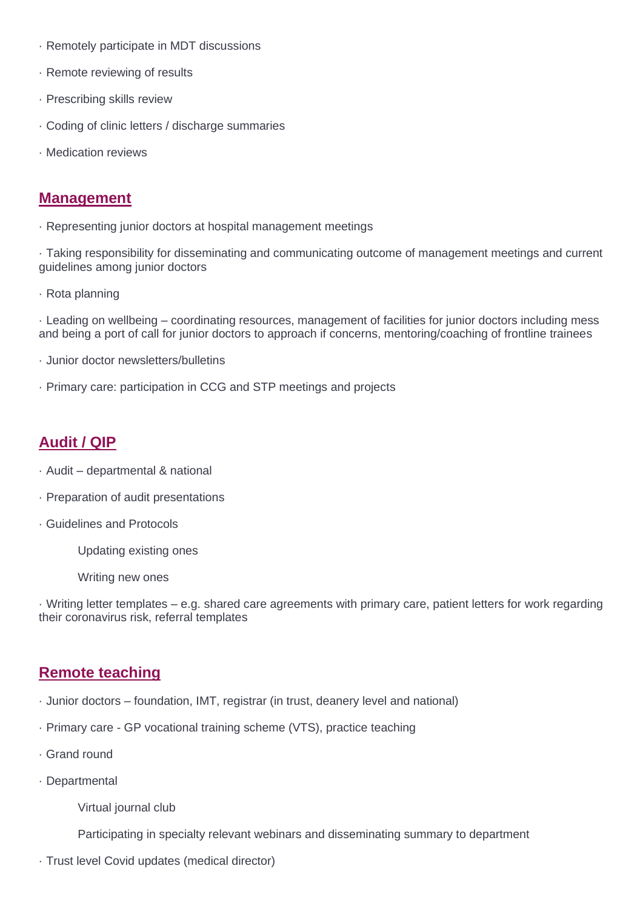- · Remotely participate in MDT discussions
- · Remote reviewing of results
- · Prescribing skills review
- · Coding of clinic letters / discharge summaries
- · Medication reviews

#### **Management**

· Representing junior doctors at hospital management meetings

· Taking responsibility for disseminating and communicating outcome of management meetings and current guidelines among junior doctors

· Rota planning

· Leading on wellbeing – coordinating resources, management of facilities for junior doctors including mess and being a port of call for junior doctors to approach if concerns, mentoring/coaching of frontline trainees

- · Junior doctor newsletters/bulletins
- · Primary care: participation in CCG and STP meetings and projects

## **Audit / QIP**

- · Audit departmental & national
- · Preparation of audit presentations
- · Guidelines and Protocols
	- Updating existing ones
	- Writing new ones

· Writing letter templates – e.g. shared care agreements with primary care, patient letters for work regarding their coronavirus risk, referral templates

## **Remote teaching**

- · Junior doctors foundation, IMT, registrar (in trust, deanery level and national)
- · Primary care GP vocational training scheme (VTS), practice teaching
- · Grand round
- · Departmental
	- Virtual journal club

Participating in specialty relevant webinars and disseminating summary to department

· Trust level Covid updates (medical director)